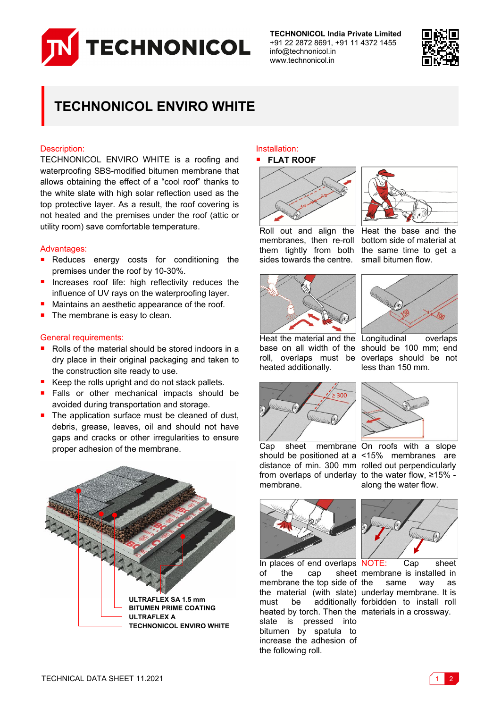

**TECHNONICOL India Private Limited** +91 22 2872 8691, +91 11 4372 1455 info@technonicol.in www.technonicol.in



# **TECHNONICOL ENVIRO WHITE**

### Description:

TECHNONICOL ENVIRO WHITE is a roofing and waterproofing SBS-modified bitumen membrane that allows obtaining the effect of a "cool roof" thanks to the white slate with high solar reflection used as the top protective layer. As a result, the roof covering is not heated and the premises under the roof (attic or utility room) save comfortable temperature.

#### Advantages:

- Reduces energy costs for conditioning the premises under the roof by 10-30%.
- **n** Increases roof life: high reflectivity reduces the influence of UV rays on the waterproofing layer.
- Maintains an aesthetic appearance of the roof.
- The membrane is easy to clean.

### General requirements:

- Rolls of the material should be stored indoors in a dry place in their original packaging and taken to the construction site ready to use.
- Keep the rolls upright and do not stack pallets.
- Falls or other mechanical impacts should be avoided during transportation and storage.
- The application surface must be cleaned of dust, debris, grease, leaves, oil and should not have gaps and cracks or other irregularities to ensure proper adhesion of the membrane.



### Installation:

## **FLAT ROOF**



membranes, then re-roll them tightly from both sides towards the centre.



Heat the base and the bottom side of material at the same time to get a small bitumen flow.





Heat the material and the Longitudinal overlaps base on all width of the should be 100 mm; end roll, overlaps must be overlaps should be not heated additionally.



Cap sheet membrane On roofs with a slope should be positioned at a <15% membranes are distance of min. 300 mm rolled out perpendicularly from overlaps of underlay to the water flow, ≥15% membrane.



In places of end overlaps NOTE: Cap sheet of the cap sheet membrane is installed in membrane the top side of the material (with slate) underlay membrane. It is must be additionally forbidden to install roll heated by torch. Then the materials in a crossway. slate is pressed into bitumen by spatula to increase the adhesion of the following roll.



less than 150 mm.

along the water flow.



same way as